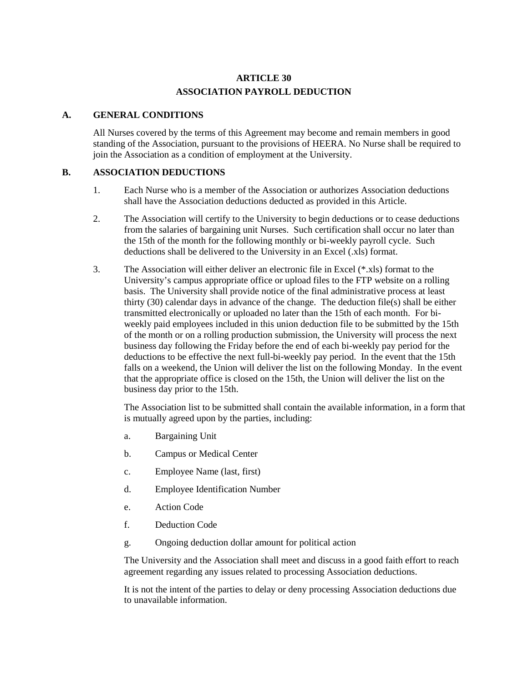# **ARTICLE 30 ASSOCIATION PAYROLL DEDUCTION**

#### **A. GENERAL CONDITIONS**

All Nurses covered by the terms of this Agreement may become and remain members in good standing of the Association, pursuant to the provisions of HEERA. No Nurse shall be required to join the Association as a condition of employment at the University.

### **B. ASSOCIATION DEDUCTIONS**

- 1. Each Nurse who is a member of the Association or authorizes Association deductions shall have the Association deductions deducted as provided in this Article.
- 2. The Association will certify to the University to begin deductions or to cease deductions from the salaries of bargaining unit Nurses. Such certification shall occur no later than the 15th of the month for the following monthly or bi-weekly payroll cycle. Such deductions shall be delivered to the University in an Excel (.xls) format.
- 3. The Association will either deliver an electronic file in Excel (\*.xls) format to the University's campus appropriate office or upload files to the FTP website on a rolling basis. The University shall provide notice of the final administrative process at least thirty (30) calendar days in advance of the change. The deduction file(s) shall be either transmitted electronically or uploaded no later than the 15th of each month. For biweekly paid employees included in this union deduction file to be submitted by the 15th of the month or on a rolling production submission, the University will process the next business day following the Friday before the end of each bi-weekly pay period for the deductions to be effective the next full-bi-weekly pay period. In the event that the 15th falls on a weekend, the Union will deliver the list on the following Monday. In the event that the appropriate office is closed on the 15th, the Union will deliver the list on the business day prior to the 15th.

The Association list to be submitted shall contain the available information, in a form that is mutually agreed upon by the parties, including:

- a. Bargaining Unit
- b. Campus or Medical Center
- c. Employee Name (last, first)
- d. Employee Identification Number
- e. Action Code
- f. Deduction Code
- g. Ongoing deduction dollar amount for political action

The University and the Association shall meet and discuss in a good faith effort to reach agreement regarding any issues related to processing Association deductions.

It is not the intent of the parties to delay or deny processing Association deductions due to unavailable information.